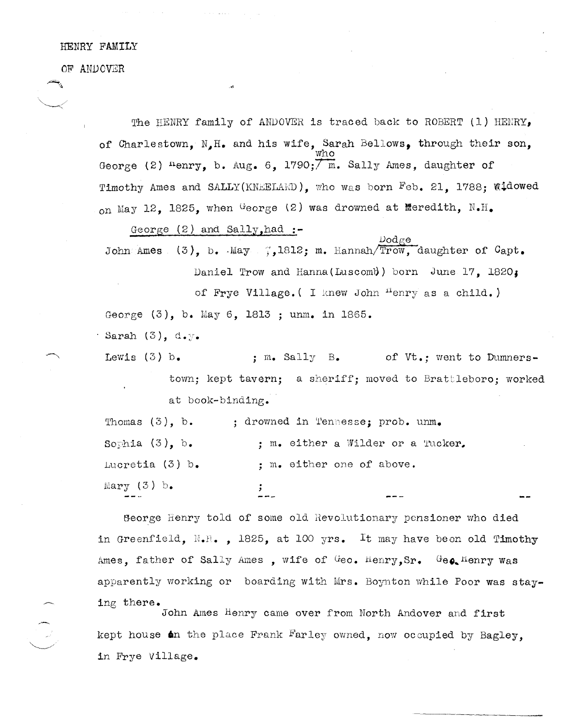## HENRY FAMILY

OF ANDOVER

The HENRY family of ANDOVER is traced back to ROBERT (1) HENRY, of Charlestown, N.H. and his wife, Sarah Bellows, through their son,  ${{\tt who}}$ George (2)  $n_{\text{enry}}$ , b. Aug. 6, 1790; $\overline{\ }$  m. Sally Ames, daughter of Timothy Ames and SALLY(KNEELAND), who was born  $Feb$ . 21, 1788; Widowed on May 12, 1825, when George (2) was drowned at Meredith,  $N_{\bullet}H_{\bullet}$ 

George (2) and Sal1y,had **:-**

John Ames (3), b. May  $\frac{7}{1812}$ ; m. Hannah/Trow, daughter of Capt. Daniel Trow and Hanna(Luscomb) born June 17, 1820; of Frye Village. ( I knew John Henry as a child.) George (3), b. May 6, 1813 ; unm. in 1865.

 $D$ od $\epsilon$ e

 $\cdot$  Sarah (3), d.y.

Lewis (3) b. ; m. Sally B. of Vt.; went to Dumnerstown; kept tavern; a sheriff; moved to Brattleboro; worked at book-binding.

| Mary (3) b.       |                                   |  |
|-------------------|-----------------------------------|--|
| Lucretia (3) b.   | ; m. either one of above.         |  |
| Sophia $(3)$ , b. | ; m. either a Wilder or a Tucker. |  |
| Thomas $(3)$ , b. | ; drowned in Tennesse; prob. unm. |  |

Beorge Henry told of some old Revolutionary pensioner who died in Greenfield,  $N_{\bullet}H_{\bullet}$ , 1825, at 100 yrs. It may have been old Timothy Ames, father of Sally Ames, wife of  $G$ eo. Henry, Sr.  $G$ eo. Henry was apparently working or boarding with Mrs. Boynton while Poor was staying there.

John Ames Henry came over from North Andover and first kept house **a**n the place Frank Farley owned, now occupied by Bagley. in Frye Village.